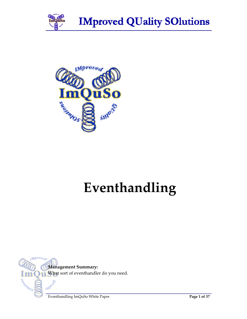



# **Eventhandling**

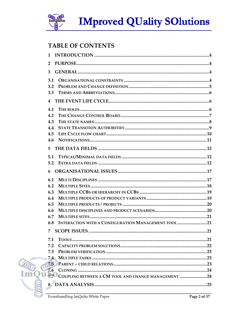

### **TABLE OF CONTENTS**

| $\mathbf{1}$                                                |     |
|-------------------------------------------------------------|-----|
| $\overline{2}$                                              |     |
| 3                                                           |     |
| 3.1                                                         |     |
| 3.2                                                         |     |
| 3.3                                                         |     |
| $\overline{4}$                                              |     |
| 4.1                                                         |     |
| 4.2                                                         |     |
| 4.3                                                         |     |
| 4.4                                                         |     |
| 4.5                                                         |     |
| 4.6                                                         |     |
| 5.                                                          |     |
| 5.1                                                         |     |
| 5.2                                                         |     |
|                                                             |     |
| 6                                                           |     |
| 6.1                                                         |     |
| 6.2                                                         |     |
| 6.3                                                         |     |
| 6.4                                                         |     |
| 6.5                                                         |     |
| 6.6                                                         |     |
| 6.7                                                         |     |
| INTERACTION WITH A CONFIGURATION MANAGEMENT TOOL 21<br>6.8  |     |
| 7 SCOPE ISSUES.                                             | .21 |
| 7.1                                                         |     |
| 7.2                                                         |     |
| 7.3                                                         |     |
|                                                             |     |
| 7.5                                                         |     |
| 7.6                                                         |     |
| 17.7<br>COUPLING BETWEEN A CM TOOL AND CHANGE MANAGEMENT 24 |     |
|                                                             |     |
|                                                             |     |

 $Mprov$ 

**ImC**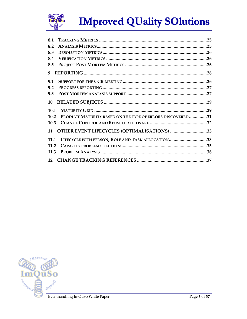

| 8.1  |                                                           |  |
|------|-----------------------------------------------------------|--|
| 8.2  |                                                           |  |
| 8.3  |                                                           |  |
| 8.4  |                                                           |  |
| 8.5  |                                                           |  |
| 9    |                                                           |  |
| 9.1  |                                                           |  |
| 9.2  |                                                           |  |
| 9.3  |                                                           |  |
| 10   |                                                           |  |
| 10.1 |                                                           |  |
| 10.2 | PRODUCT MATURITY BASED ON THE TYPE OF ERRORS DISCOVERED31 |  |
| 10.3 |                                                           |  |
| 11   | <b>OTHER EVENT LIFECYCLES (OPTIMALISATIONS) 33</b>        |  |
| 11.1 | LIFECYCLE WITH PERSON, ROLE AND TASK ALLOCATION33         |  |
| 11.2 |                                                           |  |
| 11.3 |                                                           |  |
|      |                                                           |  |

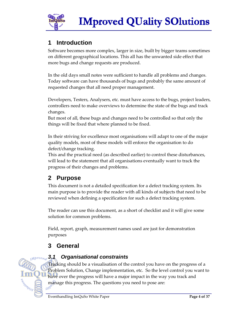

### **1 Introduction**

Software becomes more complex, larger in size, built by bigger teams sometimes on different geographical locations. This all has the unwanted side effect that more bugs and change requests are produced.

In the old days small notes were sufficient to handle all problems and changes. Today software can have thousands of bugs and probably the same amount of requested changes that all need proper management.

Developers, Testers, Analysers, etc. must have access to the bugs, project leaders, controllers need to make overviews to determine the state of the bugs and track changes.

But most of all, these bugs and changes need to be controlled so that only the things will be fixed that where planned to be fixed.

In their striving for excellence most organisations will adapt to one of the major quality models, most of these models will enforce the organisation to do defect/change tracking.

This and the practical need (as described earlier) to control these disturbances, will lead to the statement that all organisations eventually want to track the progress of their changes and problems.

### **2 Purpose**

This document is not a detailed specification for a defect tracking system. Its main purpose is to provide the reader with all kinds of subjects that need to be reviewed when defining a specification for such a defect tracking system.

The reader can use this document, as a short of checklist and it will give some solution for common problems.

Field, report, graph, measurement names used are just for demonstration purposes

### **3 General**

Mprov<sub>ed</sub>

eonn10s

### **3.1 Organisational constraints**

Tracking should be a visualisation of the control you have on the progress of a Problem Solution, Change implementation, etc. So the level control you want to have over the progress will have a major impact in the way you track and manage this progress. The questions you need to pose are:<br> $\omega$ <sup>0</sup>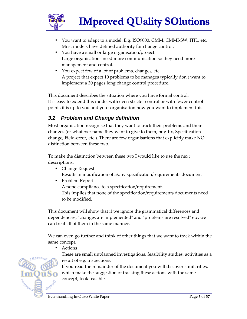

- You want to adapt to a model. E.g. ISO9000, CMM, CMMI-SW, ITIL, etc. Most models have defined authority for change control.
- You have a small or large organisation/project. Large organisations need more communication so they need more management and control.
- You expect few of a lot of problems, changes, etc. A project that expect 10 problems to be manages typically don't want to implement a 30 pages long change control procedure.

This document describes the situation where you have formal control. It is easy to extend this model with even stricter control or with fewer control points it is up to you and your organisation how you want to implement this.

### **3.2 Problem and Change definition**

Most organisation recognise that they want to track their problems and their changes (or whatever name they want to give to them, bug-fix, Specificationchange, Field-error, etc.). There are few organisations that explicitly make NO distinction between these two.

To make the distinction between these two I would like to use the next descriptions.

- Change Request Results in modification of a/any specification/requirements document
- Problem Report

A none compliance to a specification/requirement. This implies that none of the specification/requirements documents need to be modified.

This document will show that if we ignore the grammatical differences and dependencies, "changes are implemented" and "problems are resolved" etc. we can treat all of them in the same manner.

We can even go further and think of other things that we want to track within the same concept.

• Actions

These are small unplanned investigations, feasibility studies, activities as a result of e.g. inspections.

If you read the remainder of the document you will discover similarities, which make the suggestion of tracking these actions with the same concept, look feasible.

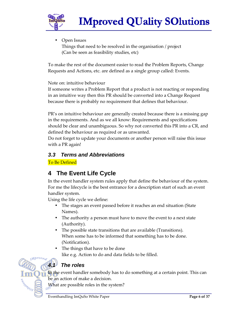

• Open Issues Things that need to be resolved in the organisation / project (Can be seen as feasibility studies, etc)

To make the rest of the document easier to read the Problem Reports, Change Requests and Actions, etc. are defined as a single group called: Events.

Note on: intuitive behaviour

If someone writes a Problem Report that a product is not reacting or responding in an intuitive way then this PR should be converted into a Change Request because there is probably no requirement that defines that behaviour.

PR's on intuitive behaviour are generally created because there is a missing gap in the requirements. And as we all know: Requirements and specifications should be clear and unambiguous. So why not converted this PR into a CR, and defined the behaviour as required or as unwanted.

Do not forget to update your documents or another person will raise this issue with a PR again!

### **3.3 Terms and Abbreviations**

To Be Defined

### **4 The Event Life Cycle**

In the event handler system rules apply that define the behaviour of the system. For me the lifecycle is the best entrance for a description start of such an event handler system.

Using the life cycle we define:

- The stages an event passed before it reaches an end situation (State Names).
- The authority a person must have to move the event to a next state (Authority).
- The possible state transitions that are available (Transitions). When some has to be informed that something has to be done. (Notification).
- The things that have to be done like e.g. Action to do and data fields to be filled.



In the event handler somebody has to do something at a certain point. This can be an action of make a decision.

What are possible roles in the system?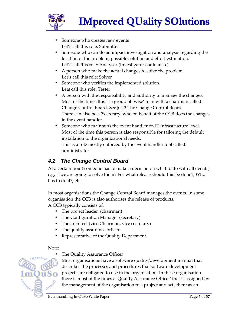

- Someone who creates new events Let's call this role: Submitter
- Someone who can do an impact investigation and analysis regarding the location of the problem, possible solution and effort estimation. Let's call this role: Analyser (Investigator could also.)
- A person who make the actual changes to solve the problem. Let's call this role: Solver
- Someone who verifies the implemented solution. Lets call this role: Tester
- A person with the responsibility and authority to manage the changes. Most of the times this is a group of 'wise' man with a chairman called: Change Control Board. See § 4.2 The Change Control Board There can also be a 'Secretary' who on behalf of the CCB does the changes in the event handler.
- Someone who maintains the event handler on IT infrastructure level. Most of the time this person is also responsible for tailoring the default installation to the organizational needs.

This is a role mostly enforced by the event handler tool called: administrator

### **4.2 The Change Control Board**

At a certain point someone has to make a decision on what to do with all events, e.g. if we are going to solve them? For what release should this be done?, Who has to do it?, etc.

In most organisations the Change Control Board manages the events. In some organisation the CCB is also authorises the release of products.

A CCB typically consists of:

- The project leader (chairman)
- The Configuration Manager (secretary)
- The architect (vice Chairman, vice secretary)
- The quality assurance officer.

The Quality Assurance Officer

• Representative of the Quality Department.

#### Note:

GHP/C

Most organisations have a software quality/development manual that describes the processes and procedures that software development projects are obligated to use in the organisation. In these organisation there is most of the times a 'Quality Assurance Officer' that is assigned by the management of the organisation to a project and acts there as an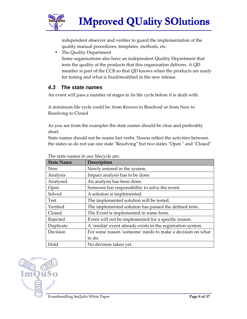

independent observer and verifier to guard the implementation of the quality manual procedures, templates, methods, etc.

• The Quality Department

Some organisations also have an independent Quality Department that tests the quality of the products that this organisation delivers. A QD member is part of the CCB so that QD knows when the products are ready for testing and what is fixed/modified in the new release.

### **4.3 The state names**

An event will pass a number of stages in its life cycle before it is dealt with.

A minimum life cycle could be: from Known to Resolved or from New to Resolving to Closed

As you see from the examples the state names should be clear and preferably short.

State names should not be nouns but verbs. Nouns reflect the activities between the states so do not use one state "Resolving" but two states "Open " and "Closed"

| <b>State Name</b> | Description                                                  |  |  |
|-------------------|--------------------------------------------------------------|--|--|
| <b>New</b>        | Newly entered in the system.                                 |  |  |
| Analysis          | Impact analysis has to be done.                              |  |  |
| Analysed          | An analysis has been done.                                   |  |  |
| Open              | Someone has responsibility to solve the event.               |  |  |
| Solved            | A solution is implemented.                                   |  |  |
| Test              | The implemented solution will be tested.                     |  |  |
| Verified          | The implemented solution has passed the defined tests.       |  |  |
| Closed            | The Event is implemented in some form.                       |  |  |
| Rejected          | Event will not be implemented for a specific reason.         |  |  |
| Duplicate         | A 'similar' event already exists in the registration system. |  |  |
| Decision          | For some reason 'someone' needs to make a decision on what   |  |  |
|                   | to do.                                                       |  |  |
| Hold              | No decision taken yet.                                       |  |  |

|  | The state names in our lifecycle are: |
|--|---------------------------------------|
|  |                                       |

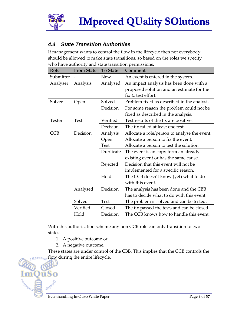

### **4.4 State Transition Authorities**

If management wants to control the flow in the lifecycle then not everybody should be allowed to make state transitions, so based on the roles we specify who have authority and state transition permissions.

| Role          | <b>From State</b> | <b>To State</b> | Comment                                      |  |  |
|---------------|-------------------|-----------------|----------------------------------------------|--|--|
| Submitter     |                   | <b>New</b>      | An event is entered in the system.           |  |  |
| Analyser      | Analysis          | Analysed        | An impact analysis has been done with a      |  |  |
|               |                   |                 | proposed solution and an estimate for the    |  |  |
|               |                   |                 | fix & test effort.                           |  |  |
| Solver        | Open              | Solved          | Problem fixed as described in the analysis.  |  |  |
|               |                   | Decision        | For some reason the problem could not be     |  |  |
|               |                   |                 | fixed as described in the analysis.          |  |  |
| <b>Tester</b> | <b>Test</b>       | Verified        | Test results of the fix are positive.        |  |  |
|               |                   | Decision        | The fix failed at least one test.            |  |  |
| <b>CCB</b>    | Decision          | Analysis        | Allocate a role/person to analyse the event. |  |  |
|               |                   | Open            | Allocate a person to fix the event.          |  |  |
|               |                   | <b>Test</b>     | Allocate a person to test the solution.      |  |  |
|               |                   | Duplicate       | The event is an copy form an already         |  |  |
|               |                   |                 | existing event or has the same cause.        |  |  |
|               |                   | Rejected        | Decision that this event will not be         |  |  |
|               |                   |                 | implemented for a specific reason.           |  |  |
|               |                   | Hold            | The CCB doesn't know (yet) what to do        |  |  |
|               |                   |                 | with this event.                             |  |  |
|               | Analysed          | Decision        | The analysis has been done and the CBB       |  |  |
|               |                   |                 | has to decide what to do with this event.    |  |  |
|               | Solved            | <b>Test</b>     | The problem is solved and can be tested.     |  |  |
|               | Verified          | Closed          | The fix passed the tests and can be closed.  |  |  |
|               | Hold              | Decision        | The CCB knows how to handle this event.      |  |  |

With this authorisation scheme any non CCB role can only transition to two states:

- 1. A positive outcome or
- 2. A negative outcome.

These states are under control of the CBB. This implies that the CCB controls the **Mprove**, flow during the entire lifecycle.



)ŭSo

GHPO

SOUNDED S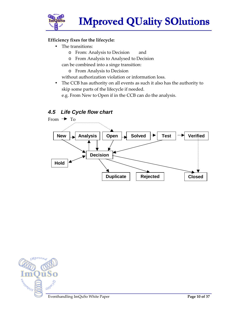

#### **Efficiency fixes for the lifecycle:**

- The transitions:
	- o From: Analysis to Decision and
	- o From Analysis to Analysed to Decision
	- can be combined into a singe transition:
		- o From Analysis to Decision

without authorization violation or information loss.

• The CCB has authority on all events as such it also has the authority to skip some parts of the lifecycle if needed.

e.g. From New to Open if in the CCB can do the analysis.

#### **4.5 Life Cycle flow chart**



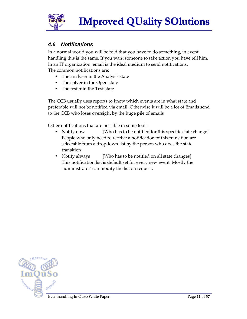

#### **4.6 Notifications**

In a normal world you will be told that you have to do something, in event handling this is the same. If you want someone to take action you have tell him. In an IT organization, email is the ideal medium to send notifications. The common notifications are:

- The analyser in the Analysis state
- The solver in the Open state
- The tester in the Test state

The CCB usually uses reports to know which events are in what state and preferable will not be notified via email. Otherwise it will be a lot of Emails send to the CCB who loses oversight by the huge pile of emails

Other notifications that are possible in some tools:

- Notify now [Who has to be notified for this specific state change] People who only need to receive a notification of this transition are selectable from a dropdown list by the person who does the state transition
- Notify always [Who has to be notified on all state changes] This notification list is default set for every new event. Mostly the 'administrator' can modify the list on request.

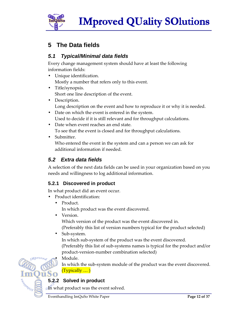

### **5 The Data fields**

### **5.1 Typical/Minimal data fields**

Every change management system should have at least the following information fields:

- Unique identification. Mostly a number that refers only to this event.
- Title/synopsis. Short one line description of the event.
- Description. Long description on the event and how to reproduce it or why it is needed.
- Date on which the event is entered in the system. Used to decide if it is still relevant and for throughput calculations.
- Date when event reaches an end state. To see that the event is closed and for throughput calculations.
- Submitter.

Who entered the event in the system and can a person we can ask for additional information if needed.

### **5.2 Extra data fields**

A selection of the next data fields can be used in your organization based on you needs and willingness to log additional information.

### **5.2.1 Discovered in product**

In what product did an event occur.

- Product identification:
	- Product. In which product was the event discovered.
	- Version.

Which version of the product was the event discovered in. (Preferably this list of version numbers typical for the product selected)

• Sub-system.

In which sub-system of the product was the event discovered. (Preferably this list of sub-systems names is typical for the product and/or product-version-number combination selected)

Module.

In which the sub-system module of the product was the event discovered. (Typically … )

### **5.2.2 Solved in product**

In what product was the event solved.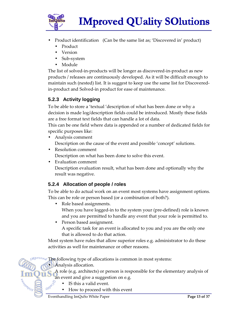

- Product identification (Can be the same list as; 'Discovered in' product)
	- Product
	- Version
	- Sub-system
	- Module

The list of solved-in-products will be longer as discovered-in-product as new products / releases are continuously developed. As it will be difficult enough to maintain such (nested) list. It is suggest to keep use the same list for Discoveredin-product and Solved-in product for ease of maintenance.

### **5.2.3 Activity logging**

To be able to store a 'textual 'description of what has been done or why a decision is made log/description fields could be introduced. Mostly these fields are a free format text fields that can handle a lot of data.

This can be one field where data is appended or a number of dedicated fields for specific purposes like:

- Analysis comment Description on the cause of the event and possible 'concept' solutions.
- Resolution comment Description on what has been done to solve this event.

• Evaluation comment Description evaluation result, what has been done and optionally why the result was negative.

#### **5.2.4 Allocation of people / roles**

To be able to do actual work on an event most systems have assignment options. This can be role or person based (or a combination of both?).

- Role based assignments. When you have logged-in to the system your (pre-defined) role is known and you are permitted to handle any event that your role is permitted to.
- Person based assignment.

A specific task for an event is allocated to you and you are the only one that is allowed to do that action.

Most system have rules that allow superior roles e.g. administrator to do these activities as well for maintenance or other reasons.

 $T<sub>0</sub>$  The following type of allocations is common in most systems:

• Analysis allocation.

A role (e.g. architects) or person is responsible for the elementary analysis of an event and give a suggestion on e.g.

- IS this a valid event.
- How to proceed with this event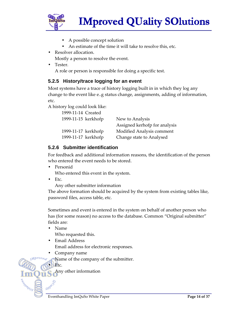

- A possible concept solution
- An estimate of the time it will take to resolve this, etc.
- Resolver allocation.
	- Mostly a person to resolve the event.
- Tester.

A role or person is responsible for doing a specific test.

#### **5.2.5 History/trace logging for an event**

Most systems have a trace of history logging built in in which they log any change to the event like e..g status change, assignments, adding of information, etc.

A history log could look like:

| 1999-11-14 Created  |                               |
|---------------------|-------------------------------|
| 1999-11-15 kerkhofp | New to Analysis               |
|                     | Assigned kerhofp for analysis |
| 1999-11-17 kerkhofp | Modified Analysis comment     |
| 1999-11-17 kerkhofp | Change state to Analysed      |

#### **5.2.6 Submitter identification**

For feedback and additional information reasons, the identification of the person who entered the event needs to be stored.

- Personid Who entered this event in the system.
- Etc.

Any other submitter information

The above formation should be acquired by the system from existing tables like, password files, access table, etc.

Sometimes and event is entered in the system on behalf of another person who has (for some reason) no access to the database. Common "Original submitter" fields are:

• Name

Who requested this.

- Email Address Email address for electronic responses.
- Company name

Name of the company of the submitter.



GHIOGO

Any other information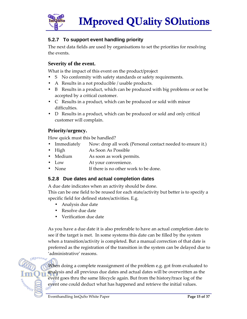

#### **5.2.7 To support event handling priority**

The next data fields are used by organisations to set the priorities for resolving the events.

#### **Severity of the event.**

What is the impact of this event on the product/project

- S No conformity with safety standards or safety requirements.
- A Results in a not producible / usable products.
- B Results in a product, which can be produced with big problems or not be accepted by a critical customer.
- C Results in a product, which can be produced or sold with minor difficulties.
- D Results in a product, which can be produced or sold and only critical customer will complain.

#### **Priority/urgency.**

How quick must this be handled?

- Immediately Now: drop all work (Personal contact needed to ensure it.)
- High As Soon As Possible
- Medium As soon as work permits.
- Low At your convenience.
- None If there is no other work to be done.

#### **5.2.8 Due dates and actual completion dates**

A due date indicates when an activity should be done.

This can be one field to be reused for each state/activity but better is to specify a specific field for defined states/activities. E.g.

- Analysis due date
- Resolve due date
- Verification due date

As you have a due date it is also preferable to have an actual completion date to see if the target is met. In some systems this date can be filled by the system when a transition/activity is completed. But a manual correction of that date is preferred as the registration of the transition in the system can be delayed due to 'administrative' reasons.

When doing a complete reassignment of the problem e.g. got from evaluated to analysis and all previous due dates and actual dates will be overwritten as the event goes thru the same lifecycle again. But from the history/trace log of the event one could deduct what has happened and retrieve the initial values.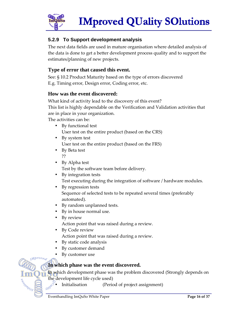

#### **5.2.9 To Support development analysis**

The next data fields are used in mature organisation where detailed analysis of the data is done to get a better development process quality and to support the estimates/planning of new projects.

#### **Type of error that caused this event.**

See: § 10.2 Product Maturity based on the type of errors discovered E.g. Timing error, Design error, Coding error, etc.

#### **How was the event discovered:**

What kind of activity lead to the discovery of this event? This list is highly dependable on the Verification and Validation activities that are in place in your organization.

The activities can be:

- By functional test User test on the entire product (based on the CRS)
- By system test User test on the entire product (based on the FRS)
- By Beta test ??
- By Alpha test Test by the software team before delivery.
- By integration tests Test executing during the integration of software / hardware modules.
- By regression tests Sequence of selected tests to be repeated several times (preferably automated).
- By random unplanned tests.
- By in house normal use.
- By review Action point that was raised during a review.
- By Code review Action point that was raised during a review.
- By static code analysis
- By customer demand
- By customer use

#### **In which phase was the event discovered.**

In which development phase was the problem discovered (Strongly depends on

the development life cycle used)<br> **CONCO** Initialisation (Peric (Period of project assignment)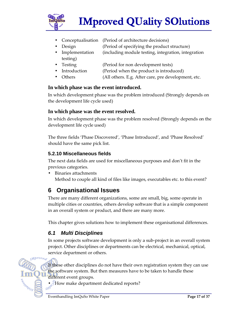

- Conceptualisation (Period of architecture decisions)
- Design (Period of specifying the product structure)
- Implementation (including module testing, integration, integration testing)
- Testing (Period for non development tests)
- Introduction (Period when the product is introduced)
- Others (All others. E.g. After care, pre development, etc.

#### **In which phase was the event introduced.**

In which development phase was the problem introduced (Strongly depends on the development life cycle used)

#### **In which phase was the event resolved.**

In which development phase was the problem resolved (Strongly depends on the development life cycle used)

The three fields 'Phase Discovered', 'Phase Introduced', and 'Phase Resolved' should have the same pick list.

#### **5.2.10 Miscellaneous fields**

The next data fields are used for miscellaneous purposes and don't fit in the previous categories.

• Binaries attachments Method to couple all kind of files like images, executables etc. to this event?

### **6 Organisational Issues**

There are many different organizations, some are small, big, some operate in multiple cities or countries, others develop software that is a simple component in an overall system or product, and there are many more.

This chapter gives solutions how to implement these organisational differences.

### **6.1 Multi Disciplines**

In some projects software development is only a sub-project in an overall system project. Other disciplines or departments can be electrical, mechanical, optical, service department or others.

If these other disciplines do not have their own registration system they can use the software system. But then measures have to be taken to handle these different event groups.

• How make department dedicated reports?

eonn10s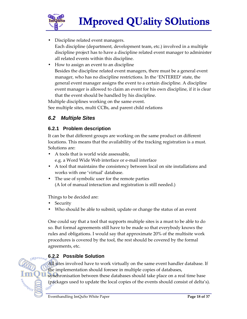

- Discipline related event managers. Each discipline (department, development team, etc.) involved in a multiple discipline project has to have a discipline related event manager to administer all related events within this discipline.
- How to assign an event to an discipline Besides the discipline related event managers, there must be a general event manager, who has no discipline restrictions. In the 'ENTERED' state, the general event manager assigns the event to a certain discipline. A discipline event manager is allowed to claim an event for his own discipline, if it is clear that the event should be handled by his discipline.

Multiple disciplines working on the same event. See multiple sites, multi CCBs, and parent child relations

### **6.2 Multiple Sites**

#### **6.2.1 Problem description**

It can be that different groups are working on the same product on different locations. This means that the availability of the tracking registration is a must. Solutions are:

- A tools that is world wide assessable, e.g. a Word Wide Web interface or e-mail interface
- A tool that maintains the consistency between local on site installations and works with one 'virtual' database.
- The use of symbolic user for the remote parties (A lot of manual interaction and registration is still needed.)

Things to be decided are:

**Security** 

eonn10s

Who should be able to submit, update or change the status of an event

One could say that a tool that supports multiple sites is a must to be able to do so. But formal agreements still have to be made so that everybody knows the rules and obligations. I would say that approximate 20% of the multisite work procedures is covered by the tool, the rest should be covered by the formal agreements, etc.

### **6.2.2 Possible Solution**

All sites involved have to work virtually on the same event handler database. If the implementation should foresee in multiple copies of databases,

synchronisation between these databases should take place on a real time base (packages used to update the local copies of the events should consist of delta's). GW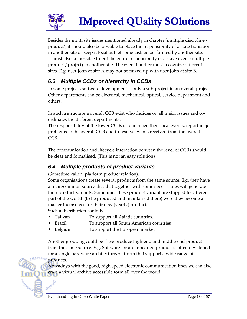

Besides the multi site issues mentioned already in chapter 'multiple discipline / product', it should also be possible to place the responsibility of a state transition in another site or keep it local but let some task be performed by another site. It must also be possible to put the entire responsibility of a slave event (multiple product / project) in another site. The event handler must recognize different sites. E.g. user John at site A may not be mixed up with user John at site B.

### **6.3 Multiple CCBs or hierarchy in CCBs**

In some projects software development is only a sub-project in an overall project. Other departments can be electrical, mechanical, optical, service department and others.

In such a structure a overall CCB exist who decides on all major issues and coordinates the different departments.

The responsibility of the lower CCBs is to manage their local events, report major problems to the overall CCB and to resolve events received from the overall CCB.

The communication and lifecycle interaction between the level of CCBs should be clear and formalised. (This is not an easy solution)

### **6.4 Multiple products of product variants**

(Sometime called: platform product relation).

Some organisations create several products from the same source. E.g. they have a main/common source that that together with some specific files will generate their product variants. Sometimes these product variant are shipped to different part of the world (to be produced and maintained there) were they become a master themselves for their new (yearly) products. Such a distribution could be:

- Taiwan To support all Asiatic countries.
- Brazil **Fraudite To support all South American countries**
- Belgium To support the European market

Another grouping could be if we produce high-end and middle-end product from the same source. E.g. Software for an imbedded product is often developed for a single hardware architecture/platform that support a wide range of

products.

Gring

Nowadays with the good, high speed electronic communication lines we can also crate a virtual archive accessible form all over the world.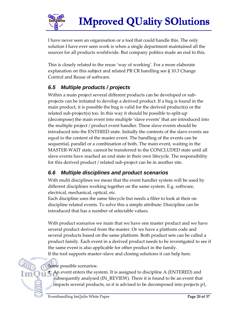

I have never seen an organisation or a tool that could handle this. The only solution I have ever seen work is when a single department maintained all the sources for all products worldwide. But company politics made an end to this.

This is closely related to the reuse 'way of working'. For a more elaborate explanation on this subject and related PR CR handling see § 10.3 Change Control and Reuse of software.

### **6.5 Multiple products / projects**

Within a main project several different products can be developed or subprojects can be initiated to develop a derived product. If a bug is found in the main product, it is possible the bug is valid for the derived product(s) or the related sub-project(s) too. In this way it should be possible to split-up (decompose) the main event into multiple 'slave events' that are introduced into the multiple project / product event handler. These slave events should be introduced into the ENTERED state. Initially the contents of the slave events are equal to the content of the master event. The handling of the events can be sequential, parallel or a combination of both. The main event, waiting in the MASTER-WAIT state, cannot be transferred to the CONCLUDED state until all slave events have reached an end state in their own lifecycle. The responsibility for this derived product / related sub-project can be in another site.

### **6.6 Multiple disciplines and product scenarios**

With multi disciplines we mean that the event handler system will be used by different disciplines working together on the same system. E.g. software, electrical, mechanical, optical, etc.

Each discipline uses the same lifecycle but needs a filter to look at their on discipline related events. To solve this a simple attribute: Disicipline can be introduced that has a number of selectable values.

With product scenarios we main that we have one master product and we have several product derived from the master. Or we have a platform code and several products based on the same platform. Both product sets can be called a product family. Each event in a derived product needs to be investigated to see if the same event is also applicable for other product in the family.

If the tool supports master–slave and cloning solutions it can help here.

Some possible scenarios:

eogni0s

• An event enters the system. It is assigned to discipline A (ENTERED) and subsequently analysed (IN\_REVIEW). There it is found to be an event that impacts several products, so it is advised to be decomposed into projects p1,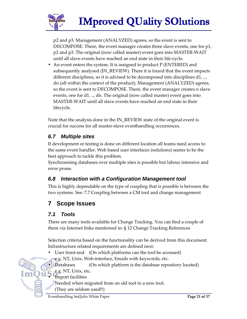

p2 and p3. Management (ANALYZED) agrees, so the event is sent to DECOMPOSE. There, the event manager creates three slave events, one for p1, p2 and p3. The original (now called master) event goes into MASTER-WAIT until all slave events have reached an end state in their life-cycle.

• An event enters the system. It is assigned to product P (ENTERED) and subsequently analysed (IN\_REVIEW). There it is found that the event impacts different disciplines, so it is advised to be decomposed into disciplines d1, .., dn (all within the context of the product). Management (ANALYZED) agrees, so the event is sent to DECOMPOSE. There, the event manager creates n slave events, one for d1, .., dn. The original (now called master) event goes into MASTER-WAIT until all slave events have reached an end state in their lifecycle.

Note that the analysis done in the IN\_REVIEW state of the original event is crucial for success for all master-slave eventhandling occurrences.

### **6.7 Multiple sites**

If development or testing is done on different location all teams need access to the same event handler. Web based user interfaces (solutions) seems to be the best approach to tackle this problem.

Synchronising databases over multiple sites is possible but labour intensive and error prone.

### **6.8 Interaction with a Configuration Management tool**

This is highly dependable on the type of coupling that is possible is between the two systems. See: 7.7 Coupling between a CM tool and change management

### **7 Scope Issues**

### **7.1 Tools**

There are many tools available for Change Tracking. You can find a couple of them via Internet links mentioned in: § 12 Change Tracking References

Selection criteria based on the functionality can be derived from this document. Infrastructure related requirements are defined next:

- User front-end (On which platforms can the tool be accessed)
- e.g. NT, Unix, Web-interface, Emails with keywords, etc.

• Databases (On which platform is the database repository located)

- e.g. NT, Unix, etc.
- Import facilities
	- Needed when migrated from an old tool to a new tool.

(They are seldom used!!)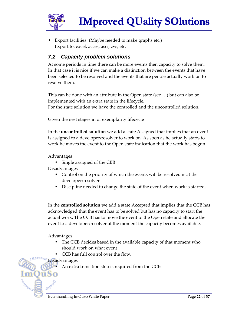

Export facilities (Maybe needed to make graphs etc.) Export to: excel, acces, asci, cvs, etc.

### **7.2 Capacity problem solutions**

At some periods in time there can be more events then capacity to solve them. In that case it is nice if we can make a distinction between the events that have been selected to be resolved and the events that are people actually work on to resolve them.

This can be done with an attribute in the Open state (see …) but can also be implemented with an extra state in the lifecycle.

For the state solution we have the controlled and the uncontrolled solution.

Given the nest stages in or exemplarity lifecycle

In the **uncontrolled solution** we add a state Assigned that implies that an event is assigned to a developer/resolver to work on. As soon as he actually starts to work he moves the event to the Open state indication that the work has begun.

Advantages

• Single assigned of the CBB

Disadvantages

- Control on the priority of which the events will be resolved is at the developer/resolver
- Discipline needed to change the state of the event when work is started.

In the **controlled solution** we add a state Accepted that implies that the CCB has acknowledged that the event has to be solved but has no capacity to start the actual work. The CCB has to move the event to the Open state and allocate the event to a developer/resolver at the moment the capacity becomes available.

Advantages

- The CCB decides based in the available capacity of that moment who should work on what event
- CCB has full control over the flow.

**Disadvantages** 

Guno

• An extra transition step is required from the CCB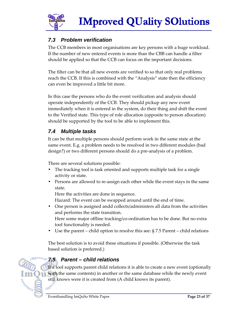

### **7.3 Problem verification**

The CCB members in most organisations are key persons with a huge workload. If the number of new entered events is more than the CBB can handle a filter should be applied so that the CCB can focus on the important decisions.

The filter can be that all new events are verified to so that only real problems reach the CCB. If this is combined with the "Analysis" state then the efficiency can even be improved a little bit more.

In this case the persons who do the event verification and analysis should operate independently of the CCB. They should pickup any new event immediately when it is entered in the system, do their thing and shift the event to the Verified state. This type of role allocation (opposite to person allocation) should be supported by the tool to be able to implement this.

### **7.4 Multiple tasks**

It can be that multiple persons should perform work in the same state at the same event. E.g. a problem needs to be resolved in two different modules (bad design?) or two different persons should do a pre-analysis of a problem.

There are several solutions possible:

- The tracking tool is task oriented and supports multiple task for a single activity or state.
- Persons are allowed to re-assign each other while the event stays in the same state.

Here the activities are done in sequence.

Hazard: The event can be swapped around until the end of time.

• One person is assigned andd collects/administers all data from the activities and performs the state transition.

Here some major offline tracking/co-ordination has to be done. But no extra tool functionality is needed.

Use the parent – child option to resolve this see:  $\S$  7.5 Parent – child relations

The best solution is to avoid these situations if possible. (Otherwise the task based solution is preferred.)

### **7.5 Parent – child relations**

If a tool supports parent child relations it is able to create a new event (optionally with the same contents) in another or the same database while the newly event still knows were it is created from (A child knows its parent).<br> **GNP**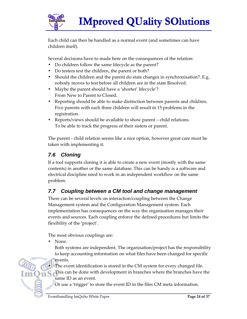

Each child can then be handled as a normal event (and sometimes can have children itself).

Several decisions have to made here on the consequences of the relation:

- Do children follow the same lifecycle as the parent?
- Do testers test the children, the parent or both?
- Should the children and the parent do state changes in synchronisation?. E.g. nobody moves to test before all children are in the state Resolved.
- Maybe the parent should have a 'shorter' lifecycle'? From New to Parent to Closed.
- Reporting should be able to make distinction between parents and children. Five parents with each three children will result in 15 problems in the registration.
- Reports/views should be available to show parent child relations. To be able to track the progress of their sisters or parent.

The parent - child relation seems like a nice option, however great care must be taken with implementing it.

### **7.6 Cloning**

If a tool supports cloning it is able to create a new event (mostly with the same contents) in another or the same database. This can be handy is a software and electrical discipline need to work in an independent workflow on the same problem.

### **7.7 Coupling between a CM tool and change management**

There can be several levels on interaction/coupling between the Change Management system and the Configuration Management system. Each implementation has consequences on the way the organisation manages their events and sources. Each coupling enforce the defined procedures but limits the flexibility of the 'project'.

The most obvious couplings are:

None.

Both systems are independent. The organisation/project has the responsibility to keep accounting information on what files have been changed for specific

events.

The event identification is stored in the CM system for every changed file.

This can be done with development in branches where the branches have the same ID as an event.

Guno Or use a 'trigger' to store the event ID in the files CM meta information.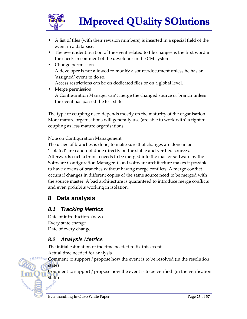

- A list of files (with their revision numbers) is inserted in a special field of the event in a database.
- The event identification of the event related to file changes is the first word in the check-in comment of the developer in the CM system.
- Change permission A developer is not allowed to modify a source/document unless he has an 'assigned' event to do so. Access restrictions can be on dedicated files or on a global level.
- Merge permission A Configuration Manager can't merge the changed source or branch unless the event has passed the test state.

The type of coupling used depends mostly on the maturity of the organisation. More mature organisations will generally use (are able to work with) a tighter coupling as less mature organisations

Note on Configuration Management

The usage of branches is done, to make sure that changes are done in an 'isolated' area and not done directly on the stable and verified sources. Afterwards such a branch needs to be merged into the master software by the Software Configuration Manager. Good software architecture makes it possible to have dozens of branches without having merge conflicts. A merge conflict occurs if changes in different copies of the same source need to be merged with the source master. A bad architecture is guaranteed to introduce merge conflicts and even prohibits working in isolation.

### **8 Data analysis**

### **8.1 Tracking Metrics**

Date of introduction (new) Every state change Date of every change

#### **8.2 Analysis Metrics**

The initial estimation of the time needed to fix this event.

Actual time needed for analysis

Comment to support / propose how the event is to be resolved (in the resolution state)

Comment to support / propose how the event is to be verified (in the verification state)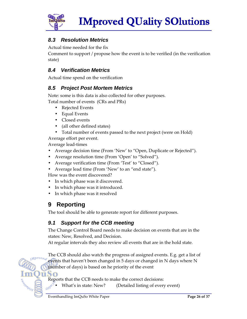

### **8.3 Resolution Metrics**

Actual time needed for the fix

Comment to support / propose how the event is to be verified (in the verification state)

### **8.4 Verification Metrics**

Actual time spend on the verification

### **8.5 Project Post Mortem Metrics**

Note: some is this data is also collected for other purposes. Total number of events (CRs and PRs)

- Rejected Events
- Equal Events
- Closed events
- (all other defined states)
- Total number of events passed to the next project (were on Hold)

Average effort per event.

Average lead-times

- Average decision time (From 'New' to "Open, Duplicate or Rejected").
- Average resolution time (From 'Open' to "Solved").
- Average verification time (From 'Test' to "Closed").
- Average lead time (From 'New' to an "end state").

How was the event discovered?

- In which phase was it discovered.
- In which phase was it introduced.
- In which phase was it resolved

### **9 Reporting**

The tool should be able to generate report for different purposes.

### **9.1 Support for the CCB meeting**

The Change Control Board needs to make decision on events that are in the states: New, Resolved, and Decision.

At regular intervals they also review all events that are in the hold state.

The CCB should also watch the progress of assigned events. E.g. get a list of events that haven't been changed in 5 days or changed in N days where N (number of days) is based on he priority of the event

ūSo

Reports that the CCB needs to make the correct decisions:<br>  $\mathbf{C}(\mathbf{R}^{\mathbf{0}}, \mathbf{C})$  What's in state: New? (Detailed listing of every (Detailed listing of every event)

eogna Os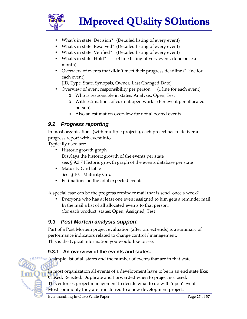

- What's in state: Decision? (Detailed listing of every event)
- What's in state: Resolved? (Detailed listing of every event)
- What's in state: Verified? (Detailed listing of every event)
- What's in state: Hold? (3 line listing of very event, done once a month)
- Overview of events that didn't meet their progress deadline (1 line for each event)

[ID, Type, State, Synopsis, Owner, Last Changed Date]

- Overview of event responsibility per person (1 line for each event)
	- o Who is responsible in states: Analysis, Open, Test
	- o With estimations of current open work. (Per event per allocated person)
	- o Also an estimation overview for not allocated events

### **9.2 Progress reporting**

In most organisations (with multiple projects), each project has to deliver a progress report with event info.

Typically used are:

- Historic growth graph Displays the historic growth of the events per state see: § 9.3.7 Historic growth graph of the events database per state
- Maturity Grid table See: § 10.1 Maturity Grid
- Estimations on the total expected events.

A special case can be the progress reminder mail that is send once a week?

• Everyone who has at least one event assigned to him gets a reminder mail. In the mail a list of all allocated events to that person. (for each product, states: Open, Assigned, Test

#### **9.3 Post Mortem analysis support**

Part of a Post Mortem project evaluation (after project ends) is a summary of performance indicators related to change control / management. This is the typical information you would like to see:

#### **9.3.1 An overview of the events and states.**

 $\frac{v_{eq}}{v_{eq}}$  A simple list of all states and the number of events that are in that state.



In most organization all events of a development have to be in an end state like: Closed, Rejected, Duplicate and Forwarded when to project is closed.

This enforces project management to decide what to do with 'open' events.

Most commonly they are transferred to a new development project.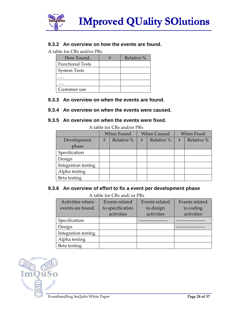

#### **9.3.2 An overview on how the events are found.**

A table for CRs and/or PRs

| How Found.              | Relative % |
|-------------------------|------------|
| <b>Functional Tests</b> |            |
| <b>System Tests</b>     |            |
|                         |            |
|                         |            |
| Customer use            |            |

#### **9.3.3 An overview on when the events are found.**

#### **9.3.4 An overview on when the events were caused.**

#### **9.3.5 An overview on when the events were fixed.**

|                     | When Found<br><b>When Caused</b> |            | <b>When Fixed</b>          |  |   |            |
|---------------------|----------------------------------|------------|----------------------------|--|---|------------|
| Development         | #                                | Relative % | Relative <sup>%</sup><br># |  | # | Relative % |
| phase               |                                  |            |                            |  |   |            |
| Specification       |                                  |            |                            |  |   |            |
| Design              |                                  |            |                            |  |   |            |
| Integration testing |                                  |            |                            |  |   |            |
| Alpha testing       |                                  |            |                            |  |   |            |
| Beta testing        |                                  |            |                            |  |   |            |

A table for CRs and/or PRs

#### **9.3.6 An overview of effort to fix a event per development phase**

#### A table for CRs and/ or PRs

| 11.000101010000000001100 |                  |                |                |  |  |  |  |
|--------------------------|------------------|----------------|----------------|--|--|--|--|
| Activities where         | Events related   | Events related | Events related |  |  |  |  |
| events are found.        | to specification | to design      | to coding      |  |  |  |  |
|                          | activities       | activities     | activities     |  |  |  |  |
| Specification            |                  |                |                |  |  |  |  |
| Design                   |                  |                |                |  |  |  |  |
| Integration testing      |                  |                |                |  |  |  |  |
| Alpha testing            |                  |                |                |  |  |  |  |
| Beta testing             |                  |                |                |  |  |  |  |

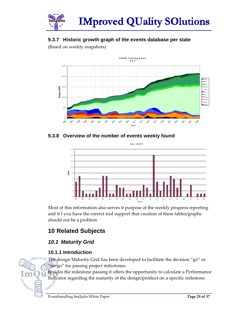

### **9.3.7 Historic growth graph of the events database per state**

(Based on weekly snapshots)



**9.3.8 Overview of the number of events weekly found**



Most of this information also serves it purpose at the weekly progress reporting and if f you have the correct tool support that creation of these tables/graphs should not be a problem

### **10 Related Subjects**

### **10.1 Maturity Grid**

#### **10.1.1 Introduction**

SOUNDED S

The design Maturity Grid has been developed to facilitate the decision "go" or "no-go" for passing project milestones.

Besides the milestone passing it offers the opportunity to calculate a Performance Indicator regarding the maturity of the design/product on a specific milestone.<br> $\frac{1}{1000}$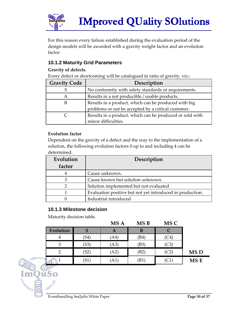

For this reason every failure established during the evaluation period of the design models will be awarded with a gravity weight factor and an evolution factor.

#### **10.1.2 Maturity Grid Parameters**

**Gravity of defects.** 

Every defect or shortcoming will be catalogued in ratio of gravity, viz.:

| <b>Gravity Code</b> | Description                                              |
|---------------------|----------------------------------------------------------|
| S                   | No conformity with safety standards or requirements.     |
| A                   | Results in a not producible / usable products.           |
| B                   | Results in a product, which can be produced with big     |
|                     | problems or not be accepted by a critical customer.      |
|                     | Results in a product, which can be produced or sold with |
|                     | minor difficulties.                                      |

#### **Evolution factor**

Dependent on the gravity of a defect and the way to the implementation of a solution, the following evolution factors 0 up to and including 4 can be determined.

| Evolution<br>factor | Description                                               |
|---------------------|-----------------------------------------------------------|
| 4                   | Cause unknown.                                            |
| 3                   | Cause known but solution unknown.                         |
| າ                   | Solution implemented but not evaluated                    |
|                     | Evaluation positive but not yet introduced in production. |
|                     | Industrial introduced                                     |

#### **10.1.3 Milestone decision**

Maturity decision table.

|           |      | MS A | MS <sub>B</sub> | MS C |                 |
|-----------|------|------|-----------------|------|-----------------|
| Evolution |      | A    | B               |      |                 |
| 4         | ΄S4  | (A4) | (B4)            | (C4  |                 |
| 3         | (S3) | (A3) | (B3)            | (C3  |                 |
| 2         | (S2) | (A2) | (B2)            | (C2  | MS <sub>D</sub> |
|           | S1   | (A1) | [B1]            | J    | MS <sub>E</sub> |



SOUNDED S

Guno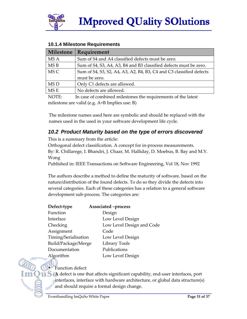

| Milestone                                        | <b>Requirement</b>                                                                                                                  |
|--------------------------------------------------|-------------------------------------------------------------------------------------------------------------------------------------|
| MS A                                             | Sum of S4 and A4 classified defects must be zero.                                                                                   |
| MSB                                              | Sum of S4, S3, A4, A3, B4 and B3 classified defects must be zero.                                                                   |
| MS C                                             | Sum of S4, S3, S2, A4, A3, A2, B4, B3, C4 and C3 classified defects                                                                 |
|                                                  | must be zero.                                                                                                                       |
| MS D                                             | Only C1 defects are allowed.                                                                                                        |
| MS E                                             | No defects are allowed.                                                                                                             |
| $\lambda$ $\Lambda$ $\Lambda$ $\Lambda$ $\Gamma$ | $\mathbf{r}$ and $\mathbf{r}$ and $\mathbf{r}$ and $\mathbf{r}$ and $\mathbf{r}$ and $\mathbf{r}$ and $\mathbf{r}$ and $\mathbf{r}$ |

#### **10.1.4 Milestone Requirements**

NOTE: In case of combined milestones the requirements of the latest milestone are valid (e.g. A+B Implies use: B)

The milestone names used here are symbolic and should be replaced with the names used in the used in your software development life cycle.

### **10.2 Product Maturity based on the type of errors discovered**

This is a summary from the article:

Orthogonal defect classification. A concept for in-process measurements. By: R. Chillarege, I. Bhandri, J. Chaar, M. Halliday, D. Moebus, B. Bay and M.Y. Wong

Published in: IEEE Transactions on Software Engineering, Vol 18, Nov 1992

The authors describe a method to define the maturity of software, based on the nature/distribution of the found defects. To do so they divide the defects into several categories. Each of these categories has a relation to a general software development sub-process. The categories are:

| Defect-type          | Associated -process       |
|----------------------|---------------------------|
| Function             | Design                    |
| Interface            | Low Level Design          |
| Checking             | Low Level Design and Code |
| Assignment           | Code                      |
| Timing/Serialisation | Low Level Design          |
| Build/Package/Merge  | Library Tools             |
| Documentation        | Publications              |
| Algorithm            | Low Level Design          |

**Function** defect:

GWO

**A** defect is one that affects significant capability, end-user interfaces, port interfaces, interface with hardware architecture, or global data structure(s) and should require a formal design change.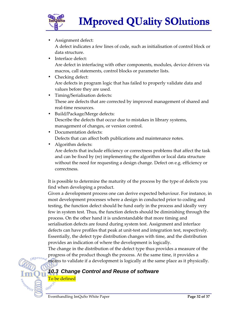

• Assignment defect:

A defect indicates a few lines of code, such as initialisation of control block or data structure.

- Interface defect: Are defect in interfacing with other components, modules, device drivers via macros, call statements, control blocks or parameter lists.
- Checking defect: Are defects in program logic that has failed to properly validate data and values before they are used.
- Timing/Serialisation defects: These are defects that are corrected by improved management of shared and real-time resources.
- Build/Package/Merge defects: Describe the defects that occur due to mistakes in library systems, management of changes, or version control.
- Documentation defects: Defects that can affect both publications and maintenance notes.

• Algorithm defects:

Are defects that include efficiency or correctness problems that affect the task and can be fixed by (re) implementing the algorithm or local data structure without the need for requesting a design change. Defect on e.g. efficiency or correctness.

It is possible to determine the maturity of the process by the type of defects you find when developing a product.

Given a development process one can derive expected behaviour. For instance, in most development processes where a design in conducted prior to coding and testing, the function defect should be fund early in the process and ideally very few in system test. Thus, the function defects should be diminishing through the process. On the other hand it is understandable that more timing and serialisation defects are found during system test. Assignment and interface defects can have profiles that peak at unit-test and integration test, respectively. Essentially, the defect type distribution changes with time, and the distribution provides an indication of where the development is logically.

The change in the distribution of the defect type thus provides a measure of the progress of the product though the process. At the same time, it provides a means to validate if a development is logically at the same place as it physically.

### **10.3 Change Control and Reuse of software**

**To be defined**<br>can<sup>pic</sup>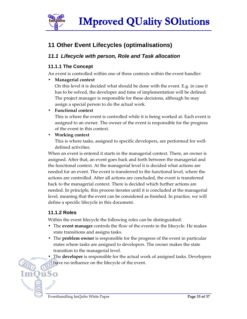

### **11 Other Event Lifecycles (optimalisations)**

#### **11.1 Lifecycle with person, Role and Task allocation**

#### **11.1.1 The Concept**

An event is controlled within one of three contexts within the event handler:

• **Managerial context**

On this level it is decided what should be done with the event. E.g. in case it has to be solved, the developer and time of implementation will be defined. The project manager is responsible for these decisions, although he may assign a special person to do the actual work.

#### • **Functional context**

This is where the event is controlled while it is being worked at. Each event is assigned to an owner. The owner of the event is responsible for the progress of the event in this context.

• **Working context**

This is where tasks, assigned to specific developers, are performed for welldefined activities.

When an event is entered it starts in the managerial context. There, an owner is assigned. After that, an event goes back and forth between the managerial and the functional context. At the managerial level it is decided what actions are needed for an event. The event is transferred to the functional level, where the actions are controlled. After all actions are concluded, the event is transferred back to the managerial context. There is decided which further actions are needed. In principle, this process iterates until it is concluded at the managerial level, meaning that the event can be considered as finished. In practice, we will define a specific lifecycle in this document.

#### **11.1.2 Roles**

)ūSo

Within the event lifecycle the following roles can be distinguished:

- The **event manager** controls the flow of the events in the lifecycle. He makes state transitions and assigns tasks.
- The **problem owner** is responsible for the progress of the event in particular states where tasks are assigned to developers. The owner makes the state transition to the managerial level.
	- The **developer** is responsible for the actual work of assigned tasks. Developers have no influence on the lifecycle of the event.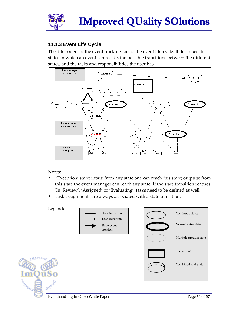

#### **11.1.3 Event Life Cycle**

The 'file rouge' of the event tracking tool is the event life-cycle. It describes the states in which an event can reside, the possible transitions between the different states, and the tasks and responsibilities the user has.



Notes:

- 'Exception' state: input: from any state one can reach this state; outputs: from this state the event manager can reach any state. If the state transition reaches 'In\_Review', 'Assigned' or 'Evaluating', tasks need to be defined as well.
- Task assignments are always associated with a state transition.



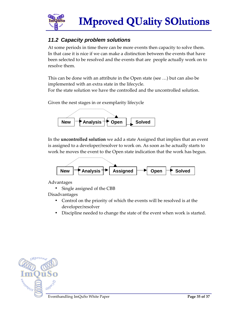

### **11.2 Capacity problem solutions**

At some periods in time there can be more events then capacity to solve them. In that case it is nice if we can make a distinction between the events that have been selected to be resolved and the events that are people actually work on to resolve them.

This can be done with an attribute in the Open state (see …) but can also be implemented with an extra state in the lifecycle. For the state solution we have the controlled and the uncontrolled solution.

Given the nest stages in or exemplarity lifecycle



In the **uncontrolled solution** we add a state Assigned that implies that an event is assigned to a developer/resolver to work on. As soon as he actually starts to work he moves the event to the Open state indication that the work has begun.



Advantages

Single assigned of the CBB

Disadvantages

- Control on the priority of which the events will be resolved is at the developer/resolver
- Discipline needed to change the state of the event when work is started.

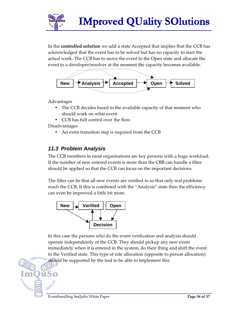

In the **controlled solution** we add a state Accepted that implies that the CCB has acknowledged that the event has to be solved but has no capacity to start the actual work. The CCB has to move the event to the Open state and allocate the event to a developer/resolver at the moment the capacity becomes available.



Advantages

- The CCB decides based in the available capacity of that moment who should work on what event
- CCB has full control over the flow.

Disadvantages

• An extra transition step is required from the CCB

#### **11.3 Problem Analysis**

The CCB members in most organisations are key persons with a huge workload. If the number of new entered events is more than the CBB can handle a filter should be applied so that the CCB can focus on the important decisions.

The filter can be that all new events are verified to so that only real problems reach the CCB. If this is combined with the "Analysis" state then the efficiency can even be improved a little bit more.



In this case the persons who do the event verification and analysis should operate independently of the CCB. They should pickup any new event immediately when it is entered in the system, do their thing and shift the event to the Verified state. This type of role allocation (opposite to person allocation) should be supported by the tool to be able to implement this.

Guno